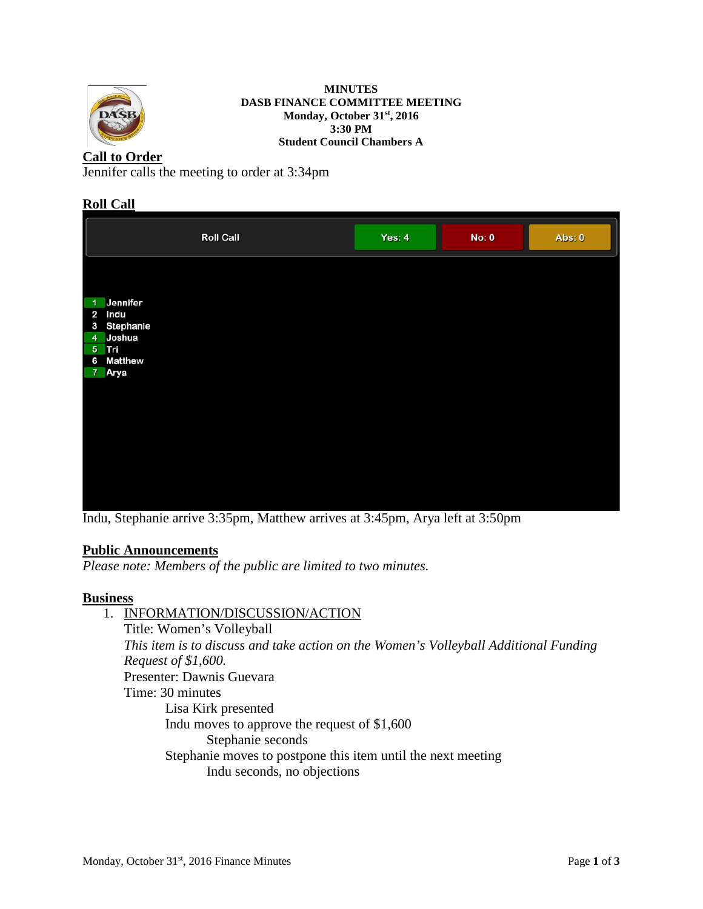

#### **MINUTES DASB FINANCE COMMITTEE MEETING Monday, October 31st, 2016 3:30 PM Student Council Chambers A**

## **Call to Order**

Jennifer calls the meeting to order at 3:34pm

## **Roll Call**

|                                                                                                                         | <b>Roll Call</b> | Yes: $4$ | <b>No: 0</b> | Abs: 0 |
|-------------------------------------------------------------------------------------------------------------------------|------------------|----------|--------------|--------|
| Jennifer<br>$\overline{1}$<br>$\mathbf{2}$<br>Indu<br>3 Stephanie<br>4 Joshua<br>5 Tri<br><b>Matthew</b><br>6<br>7 Arya |                  |          |              |        |
|                                                                                                                         |                  |          |              |        |

Indu, Stephanie arrive 3:35pm, Matthew arrives at 3:45pm, Arya left at 3:50pm

### **Public Announcements**

*Please note: Members of the public are limited to two minutes.* 

## **Business**

1. INFORMATION/DISCUSSION/ACTION Title: Women's Volleyball *This item is to discuss and take action on the Women's Volleyball Additional Funding Request of \$1,600.* Presenter: Dawnis Guevara Time: 30 minutes Lisa Kirk presented Indu moves to approve the request of \$1,600 Stephanie seconds Stephanie moves to postpone this item until the next meeting Indu seconds, no objections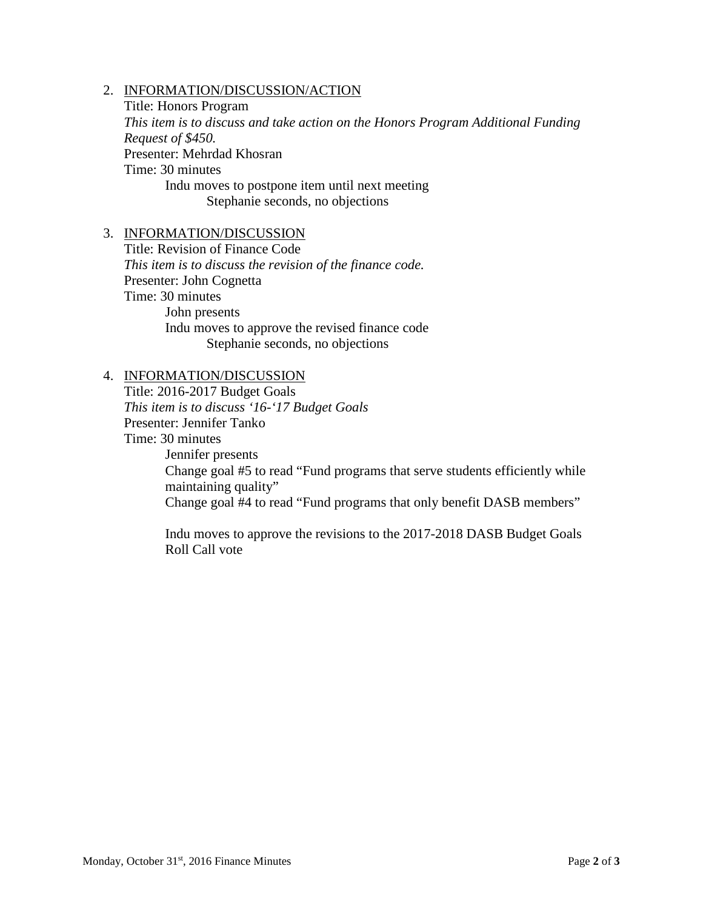### 2. INFORMATION/DISCUSSION/ACTION

Title: Honors Program *This item is to discuss and take action on the Honors Program Additional Funding Request of \$450.* Presenter: Mehrdad Khosran Time: 30 minutes Indu moves to postpone item until next meeting Stephanie seconds, no objections

### 3. INFORMATION/DISCUSSION

Title: Revision of Finance Code *This item is to discuss the revision of the finance code.* Presenter: John Cognetta Time: 30 minutes John presents Indu moves to approve the revised finance code Stephanie seconds, no objections

#### 4. INFORMATION/DISCUSSION

Title: 2016-2017 Budget Goals *This item is to discuss '16-'17 Budget Goals* Presenter: Jennifer Tanko Time: 30 minutes Jennifer presents Change goal #5 to read "Fund programs that serve students efficiently while maintaining quality" Change goal #4 to read "Fund programs that only benefit DASB members"

Indu moves to approve the revisions to the 2017-2018 DASB Budget Goals Roll Call vote